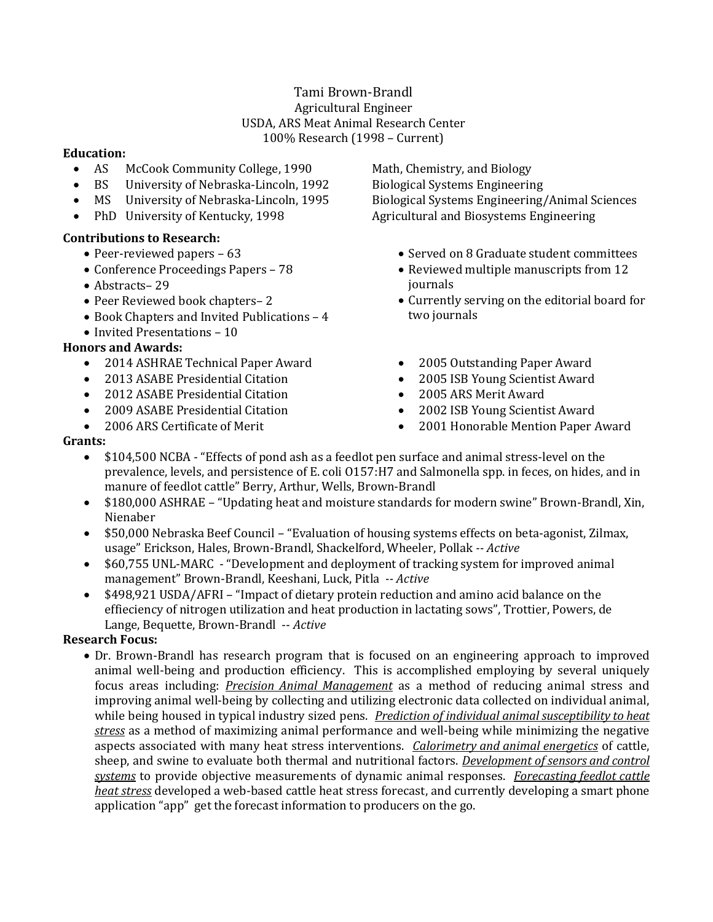# Tami Brown-Brandl Agricultural Engineer USDA, ARS Meat Animal Research Center 100% Research (1998 – Current)

#### **Education:**

- AS McCook Community College, 1990 Math, Chemistry, and Biology
- BS University of Nebraska-Lincoln, 1992 Biological Systems Engineering
- 
- 

## **Contributions to Research:**

- Peer-reviewed papers  $-63$
- Conference Proceedings Papers 78
- Abstracts-29
- Peer Reviewed book chapters– 2
- Book Chapters and Invited Publications 4
- Invited Presentations 10

## **Honors and Awards:**

- 2014 ASHRAE Technical Paper Award
- 2013 ASABE Presidential Citation
- 2012 ASABE Presidential Citation
- 2009 ASABE Presidential Citation
- 2006 ARS Certificate of Merit

 MS University of Nebraska-Lincoln, 1995 Biological Systems Engineering/Animal Sciences PhD University of Kentucky, 1998 Agricultural and Biosystems Engineering

- Served on 8 Graduate student committees
- Reviewed multiple manuscripts from 12 journals
- Currently serving on the editorial board for two journals
- 2005 Outstanding Paper Award
- 2005 ISB Young Scientist Award
- 2005 ARS Merit Award
- 2002 ISB Young Scientist Award
- 2001 Honorable Mention Paper Award

#### **Grants:**

- \$104,500 NCBA "Effects of pond ash as a feedlot pen surface and animal stress-level on the prevalence, levels, and persistence of E. coli O157:H7 and Salmonella spp. in feces, on hides, and in manure of feedlot cattle" Berry, Arthur, Wells, Brown-Brandl
- \$180,000 ASHRAE "Updating heat and moisture standards for modern swine" Brown-Brandl, Xin, Nienaber
- \$50,000 Nebraska Beef Council "Evaluation of housing systems effects on beta-agonist, Zilmax, usage" Erickson, Hales, Brown-Brandl, Shackelford, Wheeler, Pollak *-- Active*
- \$60,755 UNL-MARC "Development and deployment of tracking system for improved animal management" Brown-Brandl, Keeshani, Luck, Pitla *-- Active*
- \$498,921 USDA/AFRI "Impact of dietary protein reduction and amino acid balance on the effieciency of nitrogen utilization and heat production in lactating sows", Trottier, Powers, de Lange, Bequette, Brown-Brandl -- *Active*

## **Research Focus:**

 Dr. Brown-Brandl has research program that is focused on an engineering approach to improved animal well-being and production efficiency. This is accomplished employing by several uniquely focus areas including: *Precision Animal Management* as a method of reducing animal stress and improving animal well-being by collecting and utilizing electronic data collected on individual animal, while being housed in typical industry sized pens. *Prediction of individual animal susceptibility to heat stress* as a method of maximizing animal performance and well-being while minimizing the negative aspects associated with many heat stress interventions. *Calorimetry and animal energetics* of cattle, sheep, and swine to evaluate both thermal and nutritional factors. *Development of sensors and control systems* to provide objective measurements of dynamic animal responses. *Forecasting feedlot cattle heat stress* developed a web-based cattle heat stress forecast, and currently developing a smart phone application "app" get the forecast information to producers on the go.